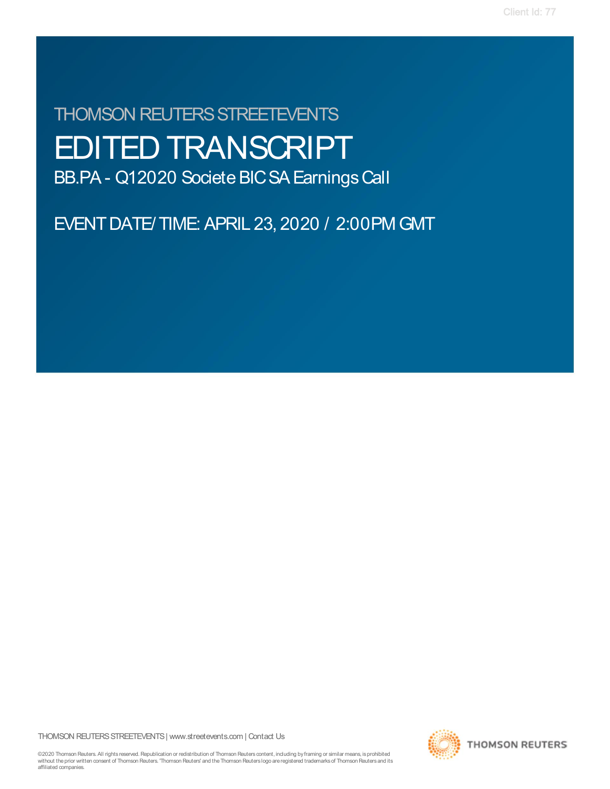# THOMSON REUTERS STREETEVENTS EDITED TRANSCRIPT BB.PA - Q1 2020 Societe BIC SA Earnings Call

EVENT DATE/ TIME: APRIL 23, 2020 / 2:00PM GMT

THOMSON REUTERS STREETEVENTS | www.streetevents.com | Contact Us

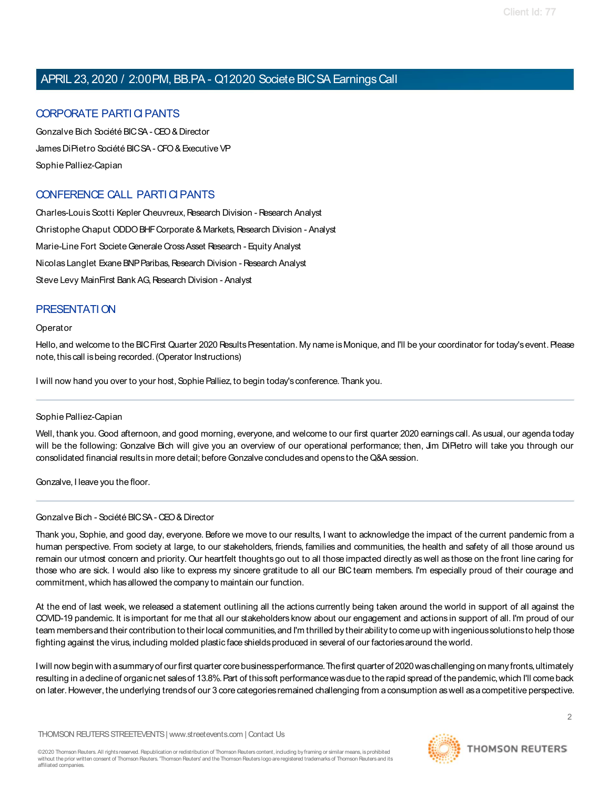### CORPORATE PARTI CIPANTS

Gonzalve Bich Société BIC SA - CEO & Director James DiPietro Société BIC SA - CFO & Executive VP Sophie Palliez-Capian

### CONFERENCE CALL PARTI CIPANTS

Charles-Louis Scotti Kepler Cheuvreux, Research Division - Research Analyst Christophe Chaput ODDO BHF Corporate & Markets, Research Division - Analyst Marie-Line Fort Societe Generale Cross Asset Research - Equity Analyst Nicolas Langlet Exane BNP Paribas, Research Division - Research Analyst Steve Levy MainFirst Bank AG, Research Division - Analyst

### PRESENTATI ON

#### **Operator**

Hello, and welcome to the BIC First Quarter 2020 Results Presentation. My name is Monique, and I'll be your coordinator for today's event. Please note, this call is being recorded. (Operator Instructions)

I will now hand you over to your host, Sophie Palliez, to begin today's conference. Thank you.

#### Sophie Palliez-Capian

Well, thank you. Good afternoon, and good morning, everyone, and welcome to our first quarter 2020 earnings call. As usual, our agenda today will be the following: Gonzalve Bich will give you an overview of our operational performance; then, Jm DiPietro will take you through our consolidated financial results in more detail; before Gonzalve concludes and opens to the Q&A session.

Gonzalve, I leave you the floor.

#### Gonzalve Bich - Société BIC SA - CEO & Director

Thank you, Sophie, and good day, everyone. Before we move to our results, I want to acknowledge the impact of the current pandemic from a human perspective. From society at large, to our stakeholders, friends, families and communities, the health and safety of all those around us remain our utmost concern and priority. Our heartfelt thoughtsgo out to all those impacted directly aswell as those on the front line caring for those who are sick. I would also like to express my sincere gratitude to all our BIC team members. I'm especially proud of their courage and commitment, which has allowed the company to maintain our function.

At the end of last week, we released a statement outlining all the actions currently being taken around the world in support of all against the COVID-19 pandemic. It is important for me that all our stakeholders know about our engagement and actions in support of all. I'm proud of our team members and their contribution to their local communities, and I'm thrilled by their ability to come up with ingenious solutions to help those fighting against the virus, including molded plastic face shields produced in several of our factories around the world.

I will now begin with a summary of our first quarter core business performance. The first quarter of 2020 was challenging on many fronts, ultimately resulting in a decline of organic net sales of 13.8%. Part of this soft performance was due to the rapid spread of the pandemic, which I'll come back on later.However,the underlying trendsof our 3 core categoriesremained challenging from aconsumption aswell asacompetitive perspective.

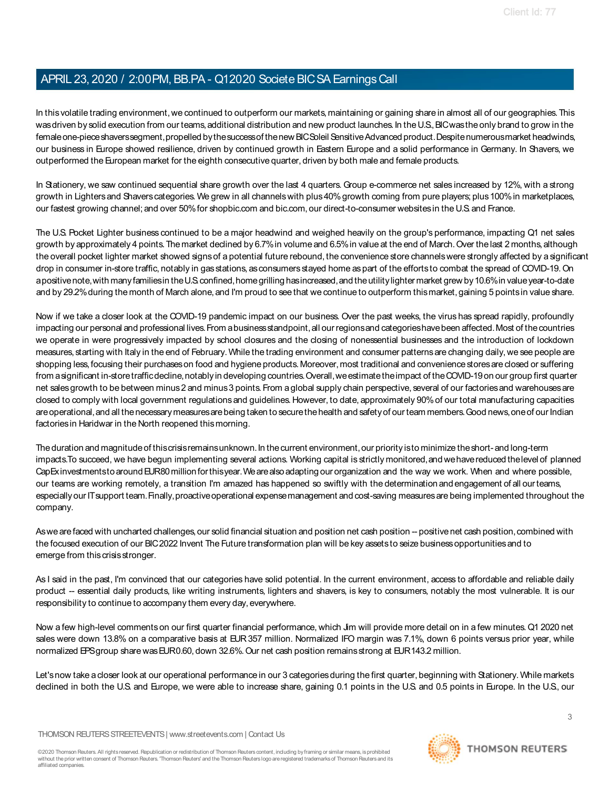In this volatile trading environment, we continued to outperform our markets, maintaining or gaining share in almost all of our geographies. This was driven by solid execution from our teams, additional distribution and new product launches. In the U.S., BIC was the only brand to grow in the female one-piece shavers segment, propelled by the success of the new BIC Soleil Sensitive Advanced product. Despite numerous market headwinds, our business in Europe showed resilience, driven by continued growth in Eastern Europe and a solid performance in Germany. In Shavers, we outperformed the European market for the eighth consecutive quarter, driven by both male and female products.

In Stationery, we saw continued sequential share growth over the last 4 quarters. Group e-commerce net sales increased by 12%, with a strong growth in Lighters and Shavers categories. We grew in all channels with plus 40% growth coming from pure players; plus 100% in marketplaces, our fastest growing channel; and over 50% for shopbic.com and bic.com, our direct-to-consumer websites in the U.S. and France.

The U.S. Pocket Lighter business continued to be a major headwind and weighed heavily on the group's performance, impacting Q1 net sales growth by approximately 4 points. The market declined by 6.7% in volume and 6.5% in value at the end of March. Over the last 2 months, although the overall pocket lighter market showed signs of a potential future rebound, the convenience store channels were strongly affected by a significant drop in consumer in-store traffic, notably in gas stations, asconsumers stayed home aspart of the efforts to combat the spread of COVID-19. On apositive note, with many families in the U.S. confined, home grilling has increased, and the utility lighter market grew by 10.6% in value year-to-date and by 29.2% during the month of March alone, and I'm proud to see that we continue to outperform this market, gaining 5 points in value share.

Now if we take a closer look at the COVID-19 pandemic impact on our business. Over the past weeks, the virus has spread rapidly, profoundly impacting our personal and professional lives. From a business standpoint, all our regions and categories have been affected. Most of the countries we operate in were progressively impacted by school closures and the closing of nonessential businesses and the introduction of lockdown measures, starting with Italy in the end of February. While the trading environment and consumer patterns are changing daily, we see people are shopping less, focusing their purchases on food and hygiene products. Moreover, most traditional and convenience stores are closed or suffering from a significant in-store traffic decline, notably in developing countries. Overall, we estimate the impact of the COVID-19 on our group first quarter net sales growth to be between minus 2 and minus 3 points. From a global supply chain perspective, several of our factories and warehouses are closed to comply with local government regulationsand guidelines. However, to date, approximately 90%of our total manufacturing capacities are operational, and all the necessary measures are being taken to secure the health and safety of our team members. Good news, one of our Indian factories in Haridwar in the North reopened this morning.

The duration and magnitude of thiscrisisremainsunknown. In the current environment, our priority isto minimize the short-and long-term impacts.To succeed, we have begun implementing several actions. Working capital is strictly monitored,and wehavereduced thelevel of planned CapExinvestmentstoaroundEUR80millionforthisyear.Wearealsoadapting our organization and the way we work. When and where possible, our teams are working remotely, a transition I'm amazed has happened so swiftly with the determination andengagement of all ourteams, especially our IT support team. Finally, proactive operational expense management and cost-saving measures are being implemented throughout the company.

Aswe are faced with uncharted challenges, our solid financial situation and position net cash position -- positive net cash position, combined with the focused execution of our BIC2022 Invent The Future transformation plan will be key assetsto seize businessopportunitiesand to emerge from this crisis stronger.

As I said in the past, I'm convinced that our categories have solid potential. In the current environment, access to affordable and reliable daily product -- essential daily products, like writing instruments, lighters and shavers, is key to consumers, notably the most vulnerable. It is our responsibility to continue to accompany them every day, everywhere.

Now a few high-level commentson our first quarter financial performance, which Jim will provide more detail on in a few minutes. Q1 2020 net sales were down 13.8% on a comparative basis at EUR357 million. Normalized IFO margin was 7.1%, down 6 points versus prior year, while normalized EPS group share was EUR 0.60, down 32.6%. Our net cash position remains strong at EUR 143.2 million.

Let'snow take acloser look at our operational performance in our 3 categoriesduring the first quarter, beginning with Stationery.While markets declined in both the U.S. and Europe, we were able to increase share, gaining 0.1 points in the U.S. and 0.5 points in Europe. In the U.S., our

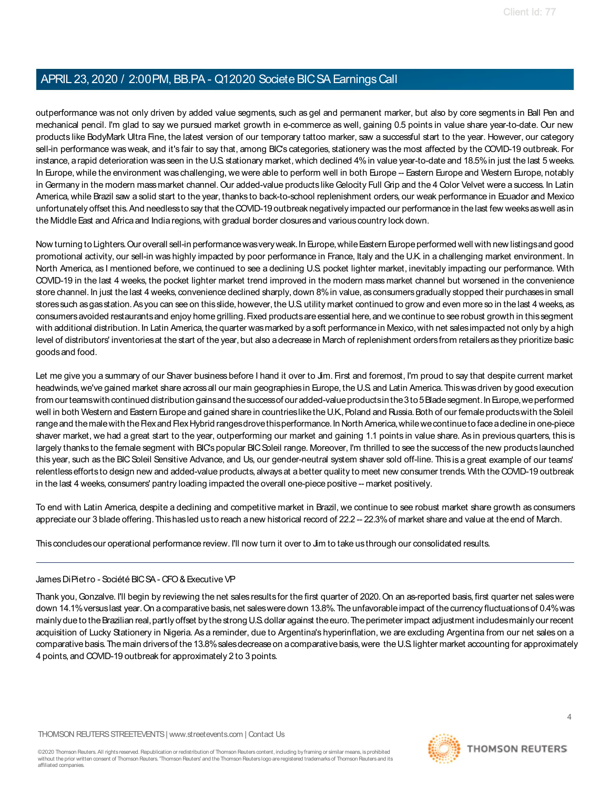outperformance was not only driven by added value segments, such as gel and permanent marker, but also by core segments in Ball Pen and mechanical pencil. I'm glad to say we pursued market growth in e-commerce as well, gaining 0.5 points in value share year-to-date. Our new products like BodyMark Ultra Fine, the latest version of our temporary tattoo marker, saw a successful start to the year. However, our category sell-in performance was weak, and it's fair to say that, among BIC's categories, stationery was the most affected by the COVID-19 outbreak. For instance, a rapid deterioration was seen in the U.S. stationary market, which declined 4% in value year-to-date and 18.5% in just the last 5 weeks. In Europe, while the environment was challenging, we were able to perform well in both Europe -- Eastern Europe and Western Europe, notably in Germany in the modern massmarket channel. Our added-value products like Gelocity Full Grip and the 4 Color Velvet were a success. In Latin America, while Brazil saw a solid start to the year, thanks to back-to-school replenishment orders, our weak performance in Ecuador and Mexico unfortunately offset this.And needlessto say that theCOVID-19 outbreak negatively impacted our performance in thelast few weeksaswell asin the Middle East and Africa and India regions, with gradual border closures and various country lock down.

Now turning to Lighters. Our overall sell-in performance was very weak. In Europe, while Eastern Europe performed well with new listings and good promotional activity, our sell-in was highly impacted by poor performance in France, Italy and the U.K. in a challenging market environment. In North America, as I mentioned before, we continued to see a declining U.S. pocket lighter market, inevitably impacting our performance. With COVID-19 in the last 4 weeks, the pocket lighter market trend improved in the modern mass market channel but worsened in the convenience store channel. In just the last 4 weeks, convenience declined sharply, down 8%in value, asconsumersgradually stopped their purchasesin small stores such as gas station. As you can see on this slide, however, the U.S. utility market continued to grow and even more so in the last 4 weeks, as consumers avoided restaurants and enjoy home grilling. Fixed products are essential here, and we continue to see robust growth in this segment with additional distribution. In Latin America, the quarter was marked by a soft performance in Mexico, with net sales impacted not only by a high level of distributors' inventories at the start of the year, but also a decrease in March of replenishment orders from retailers as they prioritize basic goods and food.

Let me give you a summary of our Shaver business before I hand it over to Jim. First and foremost, I'm proud to say that despite current market headwinds, we've gained market share across all our main geographies in Europe, the U.S. and Latin America. This was driven by good execution from our teamswith continued distribution gainsand the successof our added-value products in the 3 to 5 Blade segment. In Europe, we performed well in both Western and Eastern Europe and gained share in countries like the U.K., Poland and Russia. Both of our female products with the Soleil range and the male with the Flex and Flex Hybrid ranges drove this performance. In North America, while we continue to face a decline in one-piece shaver market, we had a great start to the year, outperforming our market and gaining 1.1 points in value share. As in previous quarters, this is largely thanks to the female segment with BIC's popular BIC Soleil range. Moreover, I'm thrilled to see the success of the new products launched this year, such as the BICSoleil Sensitive Advance, and Us, our gender-neutral system shaver sold off-line. This is a great example of our teams' relentless efforts to design new and added-value products, always at a better quality to meet new consumer trends.With the COVID-19 outbreak in the last 4 weeks, consumers' pantry loading impacted the overall one-piece positive -- market positively.

To end with Latin America, despite a declining and competitive market in Brazil, we continue to see robust market share growth as consumers appreciate our 3 blade offering. This has led us to reach a new historical record of 22.2 -- 22.3% of market share and value at the end of March.

This concludes our operational performance review. I'll now turn it over to Jim to take us through our consolidated results.

#### James DiPietro - Société BIC SA - CFO & Executive VP

Thank you, Gonzalve. I'll begin by reviewing the net sales results for the first quarter of 2020. On an as-reported basis, first quarter net sales were down 14.1% versus last year. On a comparative basis, net sales were down 13.8%. The unfavorable impact of the currency fluctuations of 0.4% was mainly due to the Brazilian real, partly offset by the strong U.S. dollar against the euro. The perimeter impact adjustment includes mainly our recent acquisition of Lucky Stationery in Nigeria. As a reminder, due to Argentina's hyperinflation, we are excluding Argentina from our net sales on a comparative basis. The main drivers of the 13.8% sales decrease on a comparative basis, were the U.S. lighter market accounting for approximately 4 points, and COVID-19 outbreak for approximately 2 to 3 points.

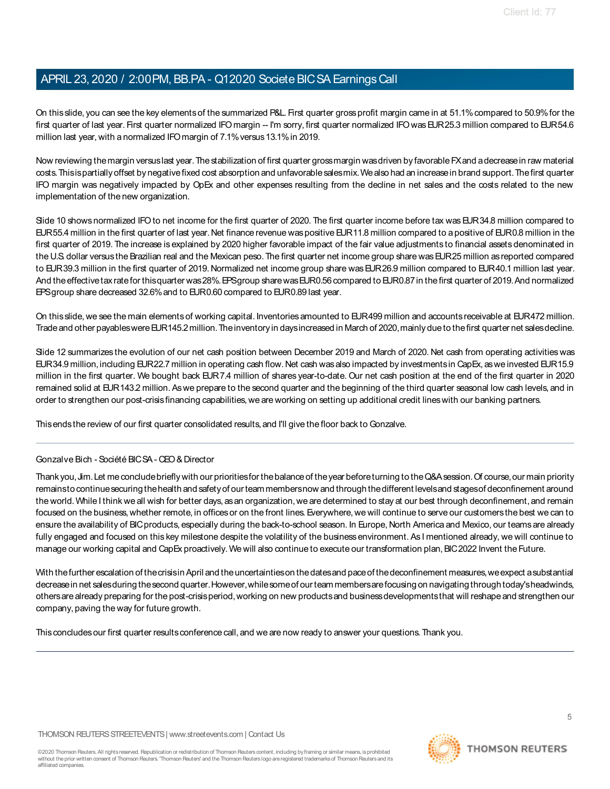On this slide, you can see the key elements of the summarized P&L. First quarter gross profit margin came in at 51.1% compared to 50.9% for the first quarter of last year. First quarter normalized IFO margin -- I'm sorry, first quarter normalized IFO was EUR25.3 million compared to EUR54.6 million last year, with a normalized IFO margin of 7.1% versus 13.1% in 2019.

Now reviewing the margin versus last year. The stabilization of first quarter grossmargin was driven by favorable FX and a decrease in raw material costs.Thisispartially offset by negativefixed cost absorption and unfavorablesalesmix.Wealso had an increasein brand support.Thefirst quarter IFO margin was negatively impacted by OpEx and other expenses resulting from the decline in net sales and the costs related to the new implementation of the new organization.

Slide 10 shows normalized IFO to net income for the first quarter of 2020. The first quarter income before tax was EUR34.8 million compared to EUR 55.4 million in the first quarter of last year. Net finance revenue was positive EUR 11.8 million compared to a positive of EUR 0.8 million in the first quarter of 2019. The increase is explained by 2020 higher favorable impact of the fair value adjustments to financial assets denominated in the U.S. dollar versus the Brazilian real and the Mexican peso. The first quarter net income group share was EUR25 million as reported compared to EUR39.3 million in the first quarter of 2019. Normalized net income group share was EUR26.9 million compared to EUR40.1 million last year. And the effective tax rate for thisquarter was 28%. EPSgroup share was EUR0.56 compared to EUR0.87 in the first quarter of 2019. And normalized EPS group share decreased 32.6% and to EUR 0.60 compared to EUR 0.89 last year.

On this slide, we see the main elements of working capital. Inventories amounted to EUR499 million and accounts receivable at EUR472 million. Trade and other payables were EUR145.2 million. The inventory in days increased in March of 2020, mainly due to the first quarter net sales decline.

Slide 12 summarizes the evolution of our net cash position between December 2019 and March of 2020. Net cash from operating activities was EUR34.9 million, including EUR22.7 million in operating cash flow. Net cash was also impacted by investments in CapEx, as we invested EUR15.9 million in the first quarter. We bought back EUR7.4 million of shares year-to-date. Our net cash position at the end of the first quarter in 2020 remained solid at EUR143.2 million. As we prepare to the second quarter and the beginning of the third quarter seasonal low cash levels, and in order to strengthen our post-crisis financing capabilities, we are working on setting up additional credit lines with our banking partners.

This ends the review of our first quarter consolidated results, and I'll give the floor back to Gonzalve.

#### Gonzalve Bich - Société BIC SA - CEO & Director

Thank you, Jm. Let me conclude briefly with our priorities for the balance of the year before turning to the Q&A session. Of course, our main priority remainsto continue securing the health and safety of our team members now and through the different levels and stages of deconfinement around the world. While I think we all wish for better days, as an organization, we are determined to stay at our best through deconfinement, and remain focused on the business, whether remote, in officesor on the front lines.Everywhere, we will continue to serve our customersthe best we can to ensure the availability of BICproducts, especially during the back-to-school season. In Europe, North America and Mexico, our teams are already fully engaged and focused on this key milestone despite the volatility of the business environment. As I mentioned already, we will continue to manage our working capital and CapEx proactively. We will also continue to execute our transformation plan, BIC 2022 Invent the Future.

With the further escalation of the crisis in April and the uncertainties on the dates and pace of the deconfinement measures, we expect a substantial decrease in net sales during the second quarter. However, while some of our team members are focusing on navigating through today's headwinds, others are already preparing for the post-crisis period, working on new products and business developments that will reshape and strengthen our company, paving the way for future growth.

This concludes our first quarter results conference call, and we are now ready to answer your questions. Thank you.

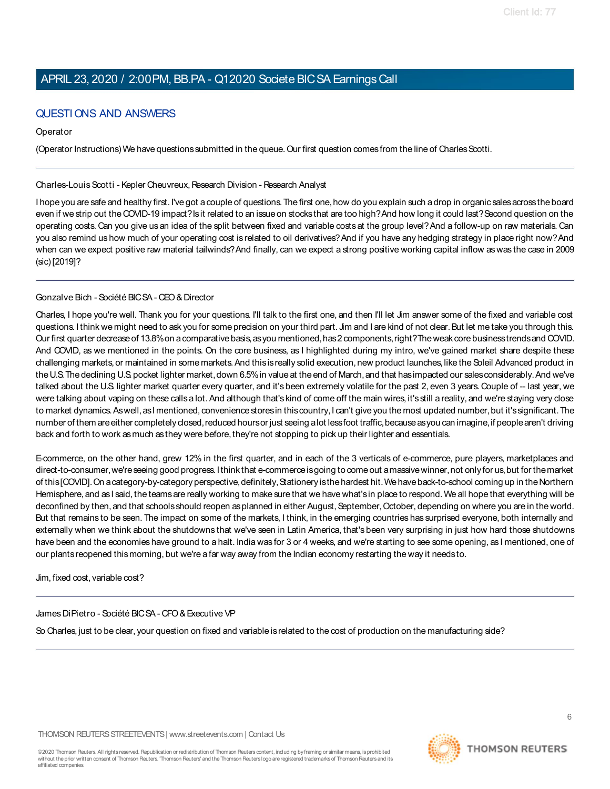# QUESTI ONS AND ANSWERS

### **Operator**

(Operator Instructions) We have questions submitted in the queue. Our first question comes from the line of Charles Scotti.

### Charles-Louis Scotti - Kepler Cheuvreux, Research Division - Research Analyst

I hope you are safe and healthy first. I've got a couple of questions. The first one, how do you explain such a drop in organic sales across the board even if we strip out the COVID-19 impact?Isit related to an issueon stocksthat are too high?And how long it could last?Second question on the operating costs. Can you give usan idea of the split between fixed and variable costs at the group level?And a follow-up on raw materials. Can you also remind us how much of your operating cost is related to oil derivatives?And if you have any hedging strategy in place right now?And when can we expect positive raw material tailwinds?And finally, can we expect a strong positive working capital inflow aswas the case in 2009 (sic) [2019]?

### Gonzalve Bich - Société BIC SA - CEO & Director

Charles, I hope you're well. Thank you for your questions. I'll talk to the first one, and then I'll let Jim answer some of the fixed and variable cost questions. I think we might need to ask you for some precision on your third part. Jim and I are kind of not clear. But let me take you through this. Our first quarter decrease of 13.8% on a comparative basis, as you mentioned, has 2 components, right? The weak core business trends and COVID. And COVID, as we mentioned in the points. On the core business, as I highlighted during my intro, we've gained market share despite these challenging markets, or maintained in some markets. And this is really solid execution, new product launches, like the Soleil Advanced product in the U.S. The declining U.S. pocket lighter market, down 6.5% in value at the end of March, and that has impacted our sales considerably. And we've talked about the U.S. lighter market quarter every quarter, and it's been extremely volatile for the past 2, even 3 years. Couple of -- last year, we were talking about vaping on these calls a lot. And although that's kind of come off the main wires, it's still a reality, and we're staying very close to market dynamics. Aswell, as I mentioned, convenience stores in this country, I can't give you the most updated number, but it's significant. The number of them are either completely closed, reduced hours or just seeing a lot less foot traffic, because as you can imagine, if people aren't driving back and forth to work as much as they were before, they're not stopping to pick up their lighter and essentials.

E-commerce, on the other hand, grew 12% in the first quarter, and in each of the 3 verticals of e-commerce, pure players, marketplaces and direct-to-consumer, we're seeing good progress. I think that e-commerce is going to come out a massive winner, not only for us, but for the market of this [COVID]. On a category-by-category perspective, definitely, Stationery is the hardest hit. We have back-to-school coming up in the Northern Hemisphere, and as I said, the teams are really working to make sure that we have what's in place to respond. We all hope that everything will be deconfined by then, and that schools should reopen as planned in either August, September, October, depending on where you are in the world. But that remains to be seen. The impact on some of the markets, I think, in the emerging countries has surprised everyone, both internally and externally when we think about the shutdowns that we've seen in Latin America, that's been very surprising in just how hard those shutdowns have been and the economies have ground to a halt. India was for 3 or 4 weeks, and we're starting to see some opening, as I mentioned, one of our plants reopened this morning, but we're a far way away from the Indian economy restarting the way it needs to.

Jim, fixed cost, variable cost?

### James DiPietro - Société BIC SA - CFO & Executive VP

So Charles, just to be clear, your question on fixed and variable is related to the cost of production on the manufacturing side?

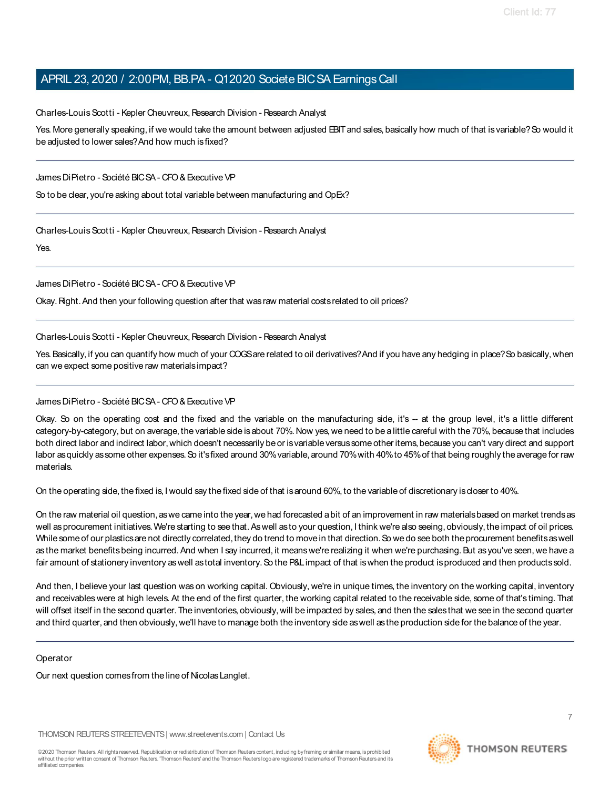Charles-Louis Scotti - Kepler Cheuvreux, Research Division - Research Analyst

Yes. More generally speaking, if we would take the amount between adjusted EBIT and sales, basically how much of that is variable? So would it be adjusted to lower sales? And how much is fixed?

James DiPietro - Société BIC SA - CFO & Executive VP

So to be clear, you're asking about total variable between manufacturing and OpEx?

Charles-Louis Scotti - Kepler Cheuvreux, Research Division - Research Analyst

Yes.

James DiPietro - Société BIC SA - CFO & Executive VP

Okay. Right. And then your following question after that was raw material costs related to oil prices?

Charles-Louis Scotti - Kepler Cheuvreux, Research Division - Research Analyst

Yes. Basically, if you can quantify how much of your COGS are related to oil derivatives? And if you have any hedging in place? So basically, when can we expect some positive raw materials impact?

#### James DiPietro - Société BIC SA - CFO & Executive VP

Okay. So on the operating cost and the fixed and the variable on the manufacturing side, it's -- at the group level, it's a little different category-by-category, but on average, the variable side isabout 70%. Now yes, we need to be alittle careful with the 70%, because that includes both direct labor and indirect labor, which doesn't necessarily be or is variable versus some other items, because you can't vary direct and support labor asquickly assome other expenses. So it's fixed around 30% variable, around 70% with 40% to 45% of that being roughly the average for raw materials.

On the operating side, the fixed is, I would say the fixed side of that is around 60%, to the variable of discretionary is closer to 40%.

On the raw material oil question, as we came into the year, we had forecasted a bit of an improvement in raw materials based on market trends as well as procurement initiatives. We're starting to see that. As well as to your question, I think we're also seeing, obviously, the impact of oil prices. While some of our plastics are not directly correlated, they do trend to move in that direction. So we do see both the procurement benefits as well as the market benefits being incurred. And when I say incurred, it means we're realizing it when we're purchasing. But as you've seen, we have a fair amount of stationery inventory as well as total inventory. So the P&L impact of that is when the product is produced and then products sold.

And then, I believe your last question was on working capital. Obviously, we're in unique times, the inventory on the working capital, inventory and receivables were at high levels. At the end of the first quarter, the working capital related to the receivable side, some of that's timing. That will offset itself in the second quarter. The inventories, obviously, will be impacted by sales, and then the sales that we see in the second quarter and third quarter, and then obviously, we'll have to manage both the inventory side as well as the production side for the balance of the year.

#### **Operator**

Our next question comes from the line of Nicolas Langlet.

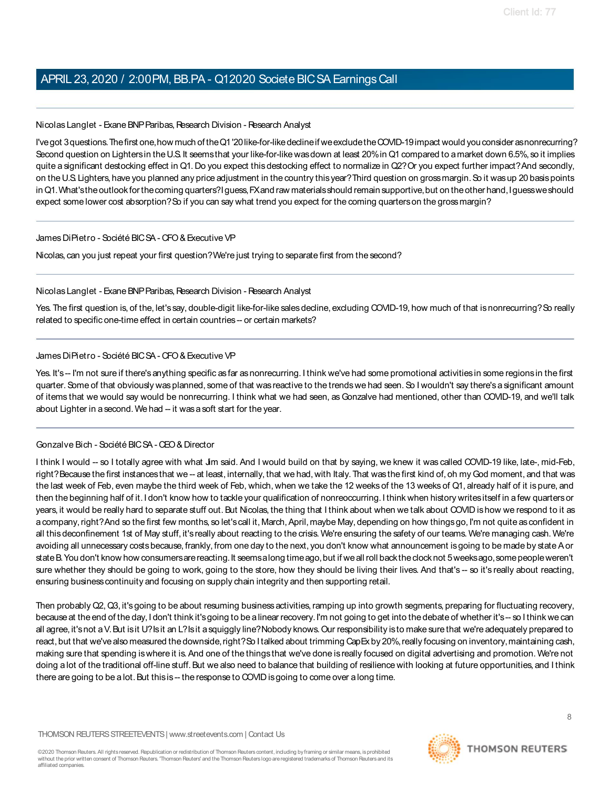#### Nicolas Langlet - Exane BNP Paribas, Research Division - Research Analyst

I've got 3 questions. The first one, how much of the Q1 '20 like-for-like decline if we exclude the COVID-19 impact would you consider asnonrecurring? Second question on Lightersin theU.S.It seemsthat your like-for-like wasdown at least 20%in Q1 compared to amarket down 6.5%, so it implies quite a significant destocking effect in Q1. Do you expect this destocking effect to normalize in Q2? Or you expect further impact? And secondly, on the U.S. Lighters, have you planned any price adjustment in the country thisyear?Third question on grossmargin.So it wasup 20 basispoints in Q1. What's the outlook for the coming quarters?I guess, FX and raw materials should remain supportive, but on the other hand, I guess we should expect some lower cost absorption? So if you can say what trend you expect for the coming quarters on the gross margin?

#### James DiPietro - Société BIC SA - CFO & Executive VP

Nicolas, can you just repeat your first question? We're just trying to separate first from the second?

#### Nicolas Langlet - Exane BNP Paribas, Research Division - Research Analyst

Yes. The first question is, of the, let's say, double-digit like-for-like sales decline, excluding COVID-19, how much of that is nonrecurring? So really related to specific one-time effect in certain countries -- or certain markets?

#### James DiPietro - Société BIC SA - CFO & Executive VP

Yes. It's-- I'm not sure if there's anything specific as far as nonrecurring. I think we've had some promotional activities in some regions in the first quarter.Some of that obviously wasplanned, some of that was reactive to the trendswe had seen.So I wouldn't say there'sa significant amount of items that we would say would be nonrecurring. I think what we had seen, as Gonzalve had mentioned, other than COVID-19, and we'll talk about Lighter in a second. We had -- it was a soft start for the year.

#### Gonzalve Bich - Société BIC SA - CEO & Director

I think I would -- so I totally agree with what Jim said. And I would build on that by saying, we knew it was called COVID-19 like, late-, mid-Feb, right? Because the first instances that we -- at least, internally, that we had, with Italy. That was the first kind of, oh my God moment, and that was the last week of Feb, even maybe the third week of Feb, which, when we take the 12 weeks of the 13 weeks of Q1, already half of it is pure, and then the beginning half of it. I don't know how to tackle your qualification of nonreoccurring. I think when history writes itself in a few quarters or years, it would be really hard to separate stuff out. But Nicolas, the thing that I think about when we talk about COVID is how we respond to it as a company, right? And so the first few months, so let's call it, March, April, maybe May, depending on how things go, I'm not quite asconfident in all thisdeconfinement 1st of May stuff, it'sreally about reacting to the crisis. We're ensuring the safety of our teams. We're managing cash. We're avoiding all unnecessary costs because, frankly, from one day to the next, you don't know what announcement is going to be made by state A or stateB.You don't know how consumersarereacting.It seemsalong timeago,but if weall roll backtheclocknot 5weeksago,somepeopleweren't sure whether they should be going to work, going to the store, how they should be living their lives. And that's -- so it's really about reacting, ensuring business continuity and focusing on supply chain integrity and then supporting retail.

Then probably Q2, Q3, it'sgoing to be about resuming businessactivities,ramping up into growth segments, preparing for fluctuating recovery, because at the end of the day, I don't think it's going to be a linear recovery. I'm not going to get into the debate of whether it's-- so I think we can all agree, it'snot a V. But isit U?Isit an L?Isit a squiggly line?Nobody knows. Our responsibility isto make sure that we're adequately prepared to react, but that we've also measured the downside, right?So I talked about trimming CapEx by 20%, really focusing on inventory, maintaining cash, making sure that spending iswhere it is.And one of the thingsthat we've done isreally focused on digital advertising and promotion. We're not doing a lot of the traditional off-line stuff.But we also need to balance that building of resilience with looking at future opportunities, and I think there are going to be a lot. But this is -- the response to COVID is going to come over a long time.

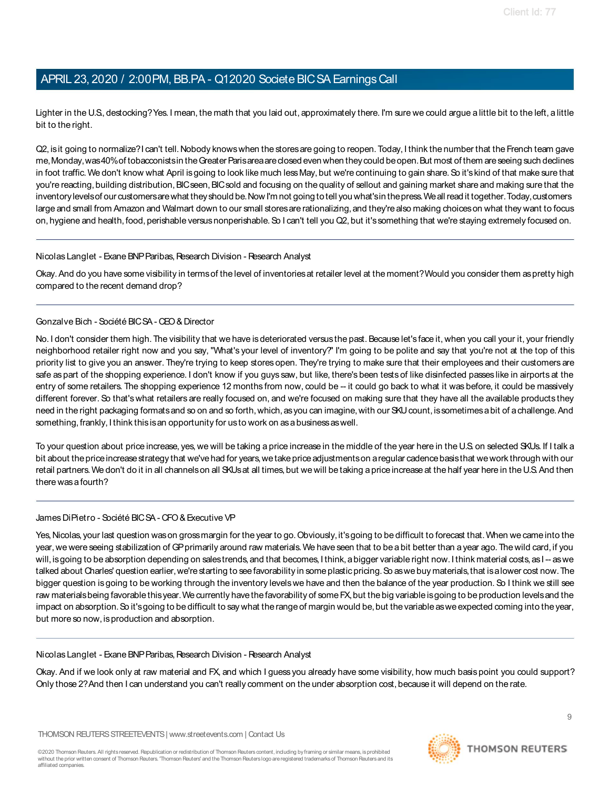Lighter in the U.S., destocking? Yes. I mean, the math that you laid out, approximately there. I'm sure we could argue a little bit to the left, a little bit to the right.

Q2, is it going to normalize?I can't tell. Nobody knows when the stores are going to reopen. Today, I think the number that the French team gave me, Monday, was 40% of tobacconists in the Greater Parisarea are closed even when they could be open. But most of them are seeing such declines in foot traffic. We don't know what April is going to look like much less May, but we're continuing to gain share. So it's kind of that make sure that you're reacting, building distribution, BIC seen, BIC sold and focusing on the quality of sellout and gaining market share and making sure that the inventory levels of our customersare what they should be. Now I'm not going to tell you what's in the press. We all read it together. Today, customers large and small from Amazon and Walmart down to our small stores are rationalizing, and they're also making choices on what they want to focus on, hygiene and health, food, perishable versus nonperishable. So I can't tell you Q2, but it's something that we're staying extremely focused on.

#### Nicolas Langlet - Exane BNP Paribas, Research Division - Research Analyst

Okay.And do you have some visibility in termsof the level of inventoriesat retailer level at the moment?Would you consider them aspretty high compared to the recent demand drop?

#### Gonzalve Bich - Société BIC SA - CEO & Director

No. I don't consider them high. The visibility that we have is deteriorated versus the past. Because let's face it, when you call your it, your friendly neighborhood retailer right now and you say, "What's your level of inventory?" I'm going to be polite and say that you're not at the top of this priority list to give you an answer. They're trying to keep stores open. They're trying to make sure that their employees and their customers are safe as part of the shopping experience. I don't know if you guys saw, but like, there's been tests of like disinfected passes like in airports at the entry of some retailers. The shopping experience 12 months from now, could be -- it could go back to what it was before, it could be massively different forever. So that's what retailers are really focused on, and we're focused on making sure that they have all the available products they need in the right packaging formats and so on and so forth, which, as you can imagine, with our SKU count, is sometimes a bit of a challenge. And something, frankly, I think this is an opportunity for us to work on as a business as well.

To your question about price increase, yes, we will be taking a price increase in the middle of the year here in the U.S. on selected SKUs. If I talk a bit about the price increase strategy that we've had for years, we take price adjustments on a regular cadence basis that we work through with our retail partners. We don't do it in all channels on all SKUs at all times, but we will be taking a price increase at the half year here in the U.S. And then there was a fourth?

#### James DiPietro - Société BIC SA - CFO & Executive VP

Yes, Nicolas, your last question was on gross margin for the year to go. Obviously, it's going to be difficult to forecast that. When we came into the year, we were seeing stabilization of GP primarily around raw materials. We have seen that to be a bit better than a year ago. The wild card, if you will, is going to be absorption depending on sales trends, and that becomes, I think, a bigger variable right now. I think material costs, as I -- as we talked about Charles' question earlier, we're starting to see favorability in some plastic pricing. So as we buy materials, that is a lower cost now. The bigger question isgoing to be working through the inventory levelswe have and then the balance of the year production. So I think we still see raw materials being favorable this year. We currently have the favorability of some FX, but the big variable is going to be production levels and the impact on absorption. So it's going to be difficult to say what the range of margin would be, but the variable as we expected coming into the year, but more so now, is production and absorption.

#### Nicolas Langlet - Exane BNP Paribas, Research Division - Research Analyst

Okay. And if we look only at raw material and FX, and which I guess you already have some visibility, how much basis point you could support? Only those 2? And then I can understand you can't really comment on the under absorption cost, because it will depend on the rate.

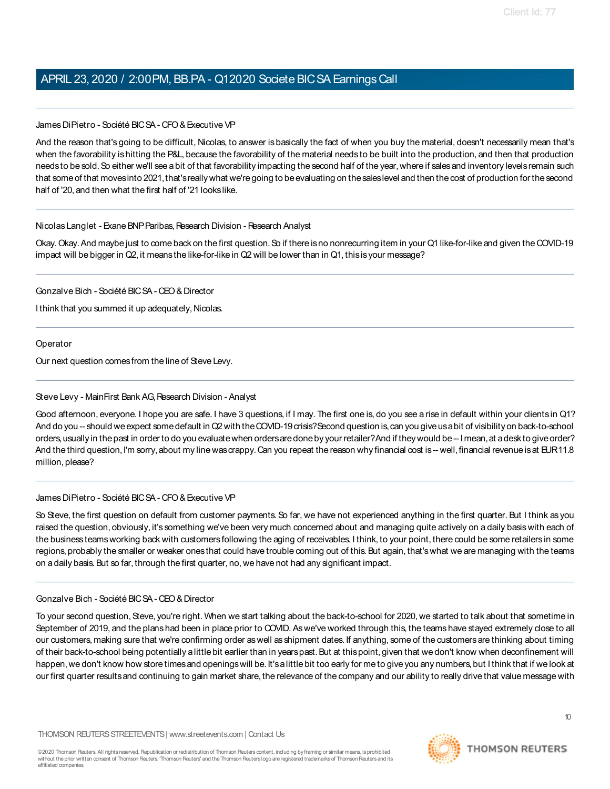#### James DiPietro - Société BIC SA - CFO & Executive VP

And the reason that's going to be difficult, Nicolas, to answer is basically the fact of when you buy the material, doesn't necessarily mean that's when the favorability ishitting the P&L, because the favorability of the material needs to be built into the production, and then that production needsto be sold. So either we'll see a bit of that favorability impacting the second half of the year, where if sales and inventory levels remain such that some of that moves into 2021, that's really what we're going to be evaluating on the sales level and then the cost of production for the second half of '20, and then what the first half of '21 looks like.

#### Nicolas Langlet - Exane BNP Paribas, Research Division - Research Analyst

Okay.Okay.And maybe just to come back on the first question.So if there isno nonrecurring item in your Q1 like-for-like and given theCOVID-19 impact will be bigger in Q2, it means the like-for-like in Q2 will be lower than in Q1, this is your message?

Gonzalve Bich - Société BIC SA - CEO & Director

I think that you summed it up adequately, Nicolas.

Operator

Our next question comes from the line of Steve Levy.

#### Steve Levy - MainFirst Bank AG, Research Division - Analyst

Good afternoon, everyone. I hope you are safe. I have 3 questions, if I may. The first one is, do you see a rise in default within your clients in Q1? And do you -- should we expect some default in Q2 with the COVID-19 crisis? Second question is, can you give us a bit of visibility on back-to-school orders,usually in thepast in order to do you evaluatewhen ordersaredoneby your retailer?And if theywould be--Imean,at adesk to giveorder? And the third question, I'm sorry, about my line was crappy. Can you repeat the reason why financial cost is-- well, financial revenue is at EUR11.8 million, please?

#### James DiPietro - Société BIC SA - CFO & Executive VP

So Steve, the first question on default from customer payments. So far, we have not experienced anything in the first quarter. But I think as you raised the question, obviously, it's something we've been very much concerned about and managing quite actively on a daily basiswith each of the business teamsworking back with customers following the aging of receivables. I think, to your point, there could be some retailers in some regions, probably the smaller or weaker ones that could have trouble coming out of this. But again, that's what we are managing with the teams on a daily basis. But so far, through the first quarter, no, we have not had any significant impact.

#### Gonzalve Bich - Société BIC SA - CEO & Director

To your second question, Steve, you're right. When we start talking about the back-to-school for 2020, we started to talk about that sometime in September of 2019, and the plans had been in place prior to COVID. Aswe've worked through this, the teams have stayed extremely close to all our customers, making sure that we're confirming order aswell as shipment dates. If anything, some of the customersare thinking about timing of their back-to-school being potentially alittle bit earlier than in yearspast.But at thispoint, given that we don't know when deconfinement will happen, we don't know how store times and openings will be. It's a little bit too early for me to give you any numbers, but I think that if we look at our first quarter results and continuing to gain market share, the relevance of the company and our ability to really drive that value message with

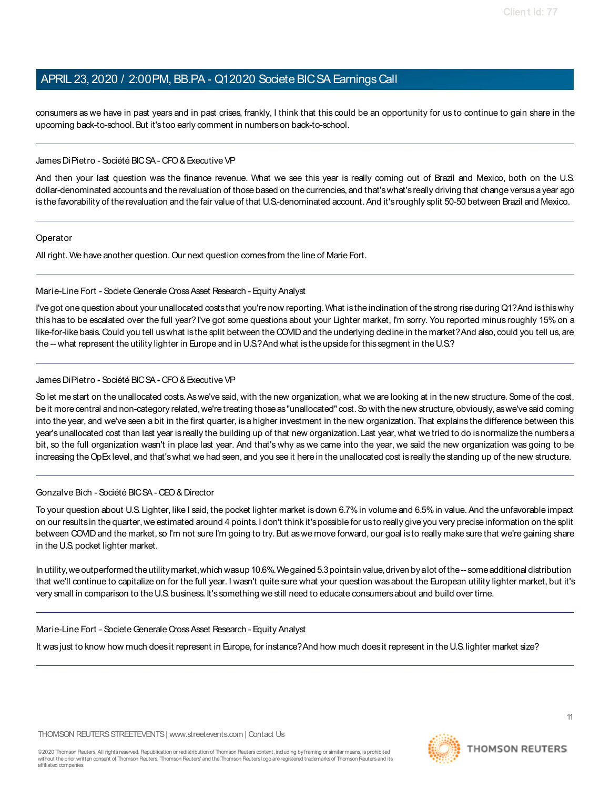consumers as we have in past years and in past crises, frankly, I think that this could be an opportunity for us to continue to gain share in the upcoming back-to-school. But it's too early comment in numbers on back-to-school.

#### James DiPietro - Société BIC SA - CFO & Executive VP

And then your last question was the finance revenue. What we see this year is really coming out of Brazil and Mexico, both on the U.S. dollar-denominated accounts and the revaluation of those based on the currencies, and that's what's really driving that change versus a year ago is the favorability of the revaluation and the fair value of that U.S.-denominated account. And it's roughly split 50-50 between Brazil and Mexico.

#### **Operator**

All right. We have another question. Our next question comes from the line of Marie Fort.

#### Marie-Line Fort - Societe Generale Cross Asset Research - Equity Analyst

I've got one question about your unallocated coststhat you're now reporting.What istheinclination of the strong rise during Q1?And isthiswhy this has to be escalated over the full year?I've got some questions about your Lighter market, I'm sorry. You reported minus roughly 15% on a like-for-like basis. Could you tell uswhat isthe split between the COVID and the underlying decline in the market?And also, could you tell us, are the -- what represent the utility lighter in Europe and in U.S.? And what is the upside for this segment in the U.S.?

#### James DiPietro - Société BIC SA - CFO & Executive VP

So let me start on the unallocated costs. As we've said, with the new organization, what we are looking at in the new structure. Some of the cost, be it more central and non-category related, we're treating those as "unallocated" cost. So with the new structure, obviously, as we've said coming into the year, and we've seen a bit in the first quarter, is a higher investment in the new organization. That explains the difference between this year'sunallocated cost than last year isreally the building up of that new organization. Last year, what we tried to do isnormalize the numbersa bit, so the full organization wasn't in place last year. And that's why as we came into the year, we said the new organization was going to be increasing the OpEx level, and that's what we had seen, and you see it here in the unallocated cost is really the standing up of the new structure.

#### Gonzalve Bich - Société BIC SA - CEO & Director

To your question about U.S. Lighter, like I said, the pocket lighter market is down 6.7% in volume and 6.5% in value. And the unfavorable impact on our results in the quarter, we estimated around 4 points. I don't think it's possible for us to really give you very precise information on the split between COVID and the market, so I'm not sure I'm going to try. But as we move forward, our goal is to really make sure that we're gaining share in the U.S. pocket lighter market.

In utility,weoutperformed theutilitymarket,which wasup 10.6%.Wegained5.3pointsin value,driven byalot of the--someadditional distribution that we'll continue to capitalize on for the full year. I wasn't quite sure what your question was about the European utility lighter market, but it's very small in comparison to the U.S. business. It's something we still need to educate consumers about and build over time.

#### Marie-Line Fort - Societe Generale Cross Asset Research - Equity Analyst

It was just to know how much does it represent in Europe, for instance? And how much does it represent in the U.S. lighter market size?

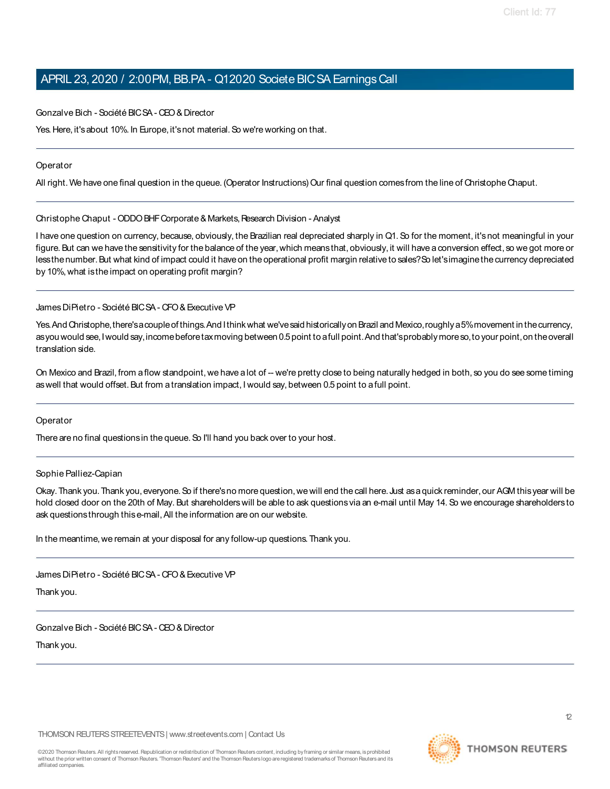#### Gonzalve Bich - Société BIC SA - CEO & Director

Yes. Here, it's about 10%. In Europe, it's not material. So we're working on that.

#### **Operator**

All right. We have one final question in the queue. (Operator Instructions) Our final question comes from the line of Christophe Chaput.

#### Christophe Chaput - ODDO BHF Corporate & Markets, Research Division - Analyst

I have one question on currency, because, obviously, the Brazilian real depreciated sharply in Q1.So for the moment, it'snot meaningful in your figure. But can we have the sensitivity for the balance of the year, which means that, obviously, it will have a conversion effect, so we got more or less the number. But what kind of impact could it have on the operational profit margin relative to sales? So let's imagine the currency depreciated by 10%, what is the impact on operating profit margin?

#### James DiPietro - Société BIC SA - CFO & Executive VP

Yes. And Christophe, there's a couple of things. And Ithink what we've said historically on Brazil and Mexico, roughly a 5% movement in the currency, asyou would see, I would say, income before tax moving between 0.5 point to a full point. And that's probably more so, to your point, on the overall translation side.

On Mexico and Brazil, from aflow standpoint, we have alot of -- we're pretty close to being naturally hedged in both, so you do see some timing as well that would offset. But from a translation impact, I would say, between 0.5 point to a full point.

#### **Operator**

There are no final questions in the queue. So I'll hand you back over to your host.

#### Sophie Palliez-Capian

Okay.Thank you.Thank you,everyone.So if there'sno more question,we will end the call here.Just asaquick reminder,our AGM thisyear will be hold closed door on the 20th of May. But shareholderswill be able to ask questions via an e-mail until May 14. So we encourage shareholders to ask questions through this e-mail, All the information are on our website.

In the meantime, we remain at your disposal for any follow-up questions. Thank you.

James Di Pietro - Société BIC SA - CFO & Executive VP

Thank you.

Gonzalve Bich - SociétéBIC SA - CEO & Director

Thank you.